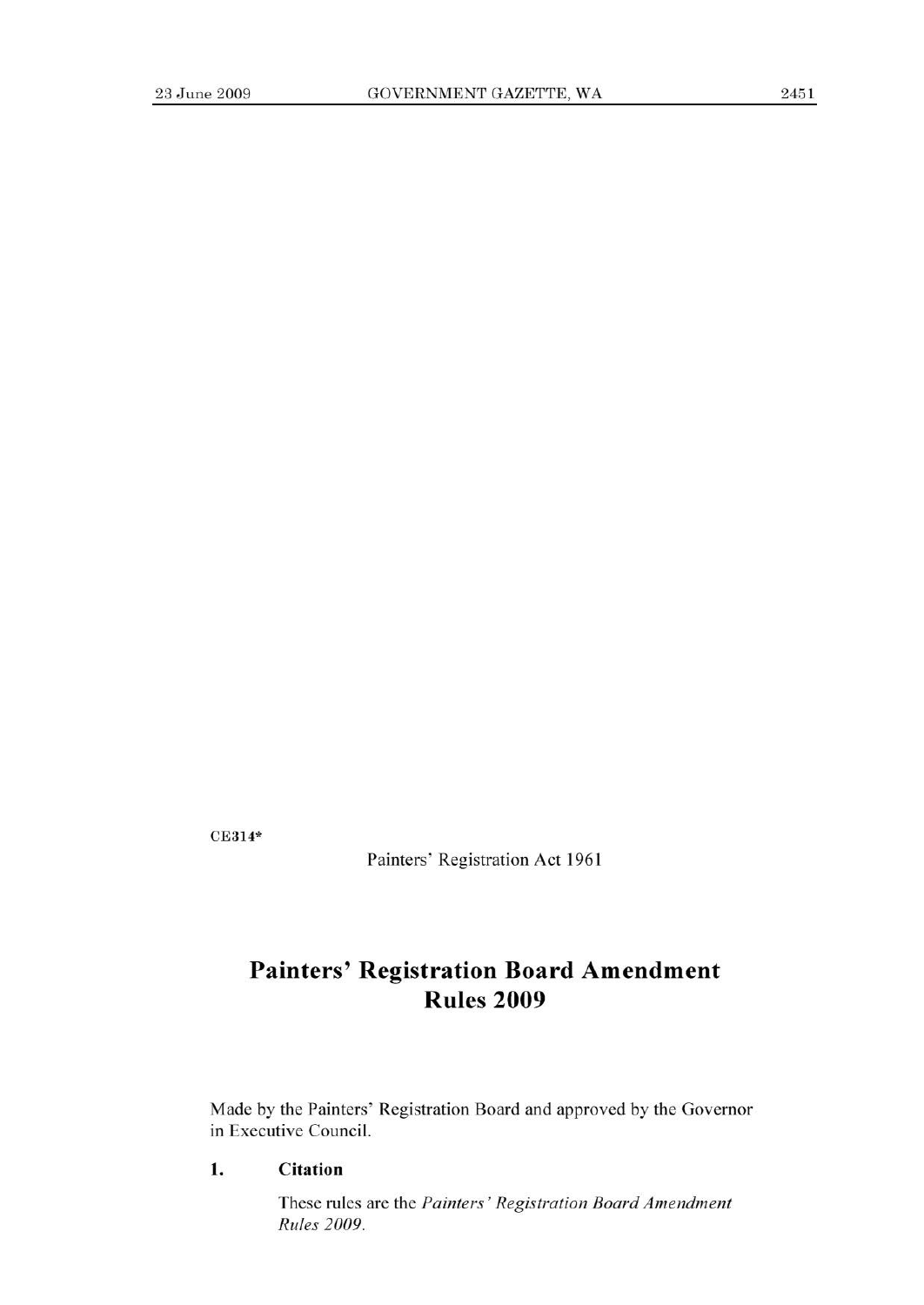CE314\*

Painters' Registration Act 1961

# **Painters' Registration Board Amendment Rules 2009**

Made by the Painters' Registration Board and approved by the Governor in Executive Council.

**1. Citation** 

These rules are the *Painters' Registration Board Amendment Rules 2009.*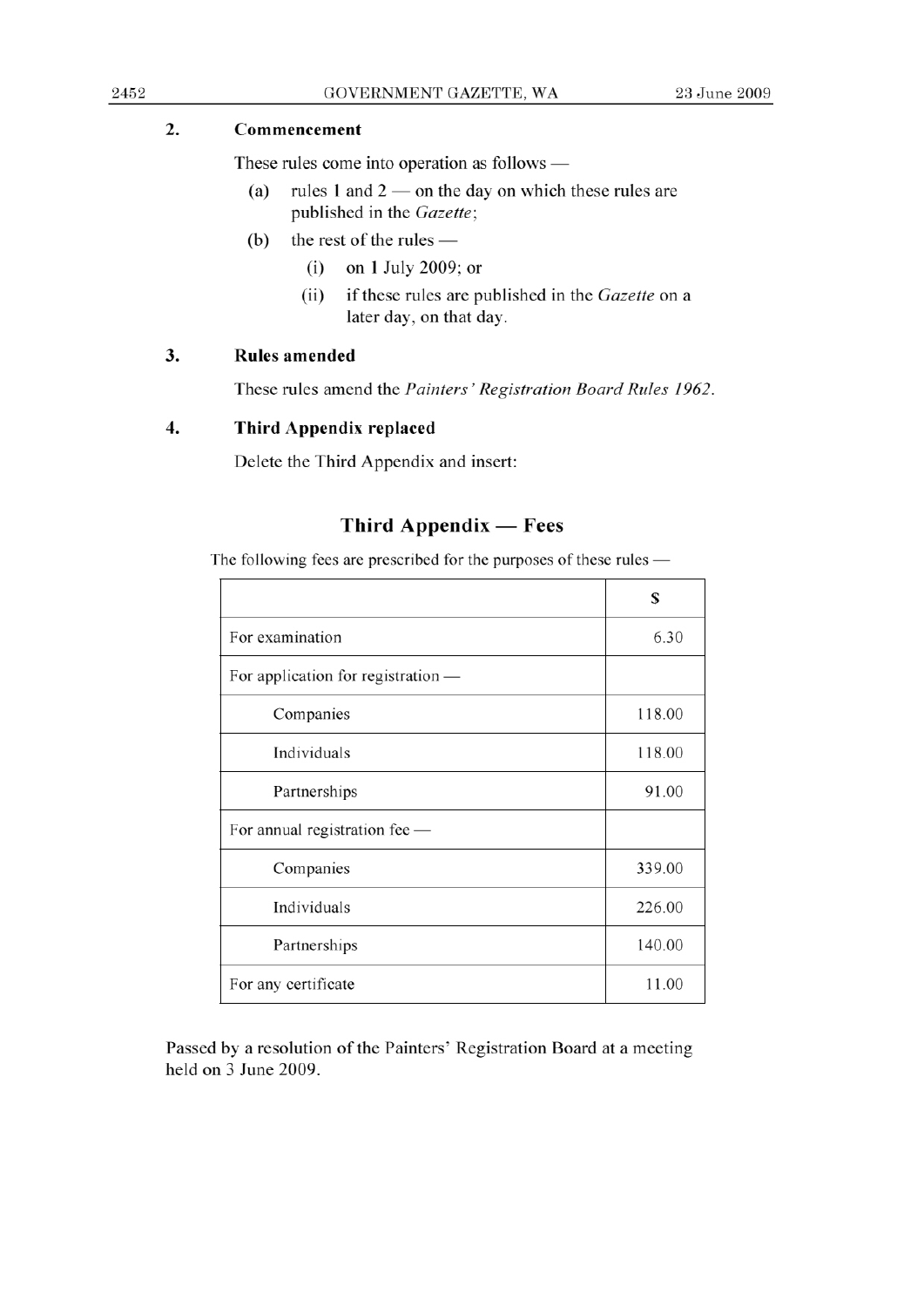### 2. **Commencement**

These rules come into operation as follows  $-$ 

- (a) rules 1 and  $2$  on the day on which these rules are published in the *Gazette;*
- (b) the rest of the rules  $-$ 
	- (1) on 1 July 2009; or
	- (ii) if these rules are published in the *Gazette* on a later day, on that day.

#### 3. **Rules amended**

These rules amend the *Painters' Registration Board Rules 1962.* 

#### **4. Third Appendix replaced**

Delete the Third Appendix and insert:

## Third Appendix **—Fees**

The following fees are prescribed for the purposes of these rules -

|                                    | S      |
|------------------------------------|--------|
| For examination                    | 6.30   |
| For application for registration — |        |
| Companies                          | 118.00 |
| Individuals                        | 118.00 |
| Partnerships                       | 91.00  |
| For annual registration fee -      |        |
| Companies                          | 339.00 |
| Individuals                        | 226.00 |
| Partnerships                       | 140.00 |
| For any certificate                | 11.00  |

Passed by a resolution of the Painters' Registration Board at a meeting held on 3 June 2009.